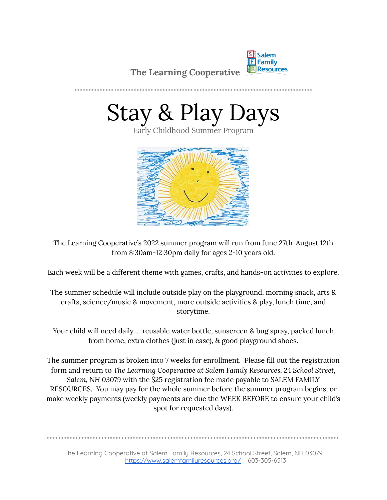

**Stay & Play Days** 

Early Childhood Summer Program



The Learning Cooperative's 2022 summer program will run from June 27th-August 12th from 8:30am-12:30pm daily for ages 2-10 years old.

Each week will be a different theme with games, crafts, and hands-on activities to explore.

The summer schedule will include outside play on the playground, morning snack, arts & crafts, science/music & movement, more outside activities & play, lunch time, and storytime.

Your child will need daily... reusable water bottle, sunscreen & bug spray, packed lunch from home, extra clothes (just in case), & good playground shoes.

The summer program is broken into 7 weeks for enrollment. Please fill out the registration form and return to The Learning Cooperative at Salem Family Resources, 24 School Street, Salem, NH 03079 with the \$25 registration fee made payable to SALEM FAMILY RESOURCES. You may pay for the whole summer before the summer program begins, or make weekly payments (weekly payments are due the WEEK BEFORE to ensure your child's spot for requested days).

The Learning Cooperative at Salem Family Resources, 24 School Street, Salem, NH 03079 https://www.salemfamilyresources.org/ 603-305-6513